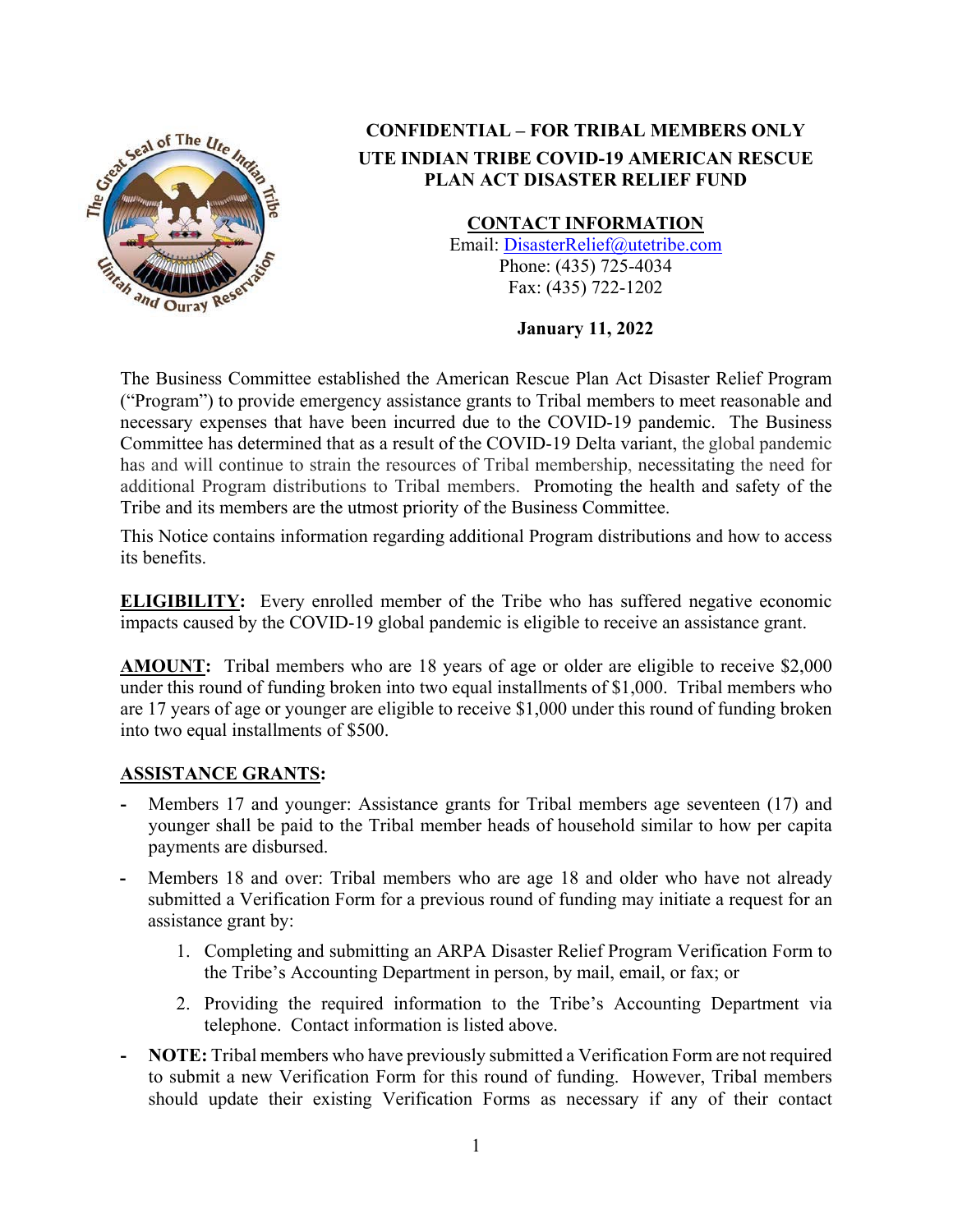

# **CONFIDENTIAL – FOR TRIBAL MEMBERS ONLY UTE INDIAN TRIBE COVID-19 AMERICAN RESCUE PLAN ACT DISASTER RELIEF FUND**

**CONTACT INFORMATION** 

Email: DisasterRelief@utetribe.com Phone: (435) 725-4034 Fax: (435) 722-1202

**January 11, 2022** 

The Business Committee established the American Rescue Plan Act Disaster Relief Program ("Program") to provide emergency assistance grants to Tribal members to meet reasonable and necessary expenses that have been incurred due to the COVID-19 pandemic. The Business Committee has determined that as a result of the COVID-19 Delta variant, the global pandemic has and will continue to strain the resources of Tribal membership, necessitating the need for additional Program distributions to Tribal members. Promoting the health and safety of the Tribe and its members are the utmost priority of the Business Committee.

This Notice contains information regarding additional Program distributions and how to access its benefits.

**ELIGIBILITY:** Every enrolled member of the Tribe who has suffered negative economic impacts caused by the COVID-19 global pandemic is eligible to receive an assistance grant.

**AMOUNT:** Tribal members who are 18 years of age or older are eligible to receive \$2,000 under this round of funding broken into two equal installments of \$1,000. Tribal members who are 17 years of age or younger are eligible to receive \$1,000 under this round of funding broken into two equal installments of \$500.

### **ASSISTANCE GRANTS:**

- **-** Members 17 and younger: Assistance grants for Tribal members age seventeen (17) and younger shall be paid to the Tribal member heads of household similar to how per capita payments are disbursed.
- **-** Members 18 and over: Tribal members who are age 18 and older who have not already submitted a Verification Form for a previous round of funding may initiate a request for an assistance grant by:
	- 1. Completing and submitting an ARPA Disaster Relief Program Verification Form to the Tribe's Accounting Department in person, by mail, email, or fax; or
	- 2. Providing the required information to the Tribe's Accounting Department via telephone. Contact information is listed above.
- **- NOTE:** Tribal members who have previously submitted a Verification Form are not required to submit a new Verification Form for this round of funding. However, Tribal members should update their existing Verification Forms as necessary if any of their contact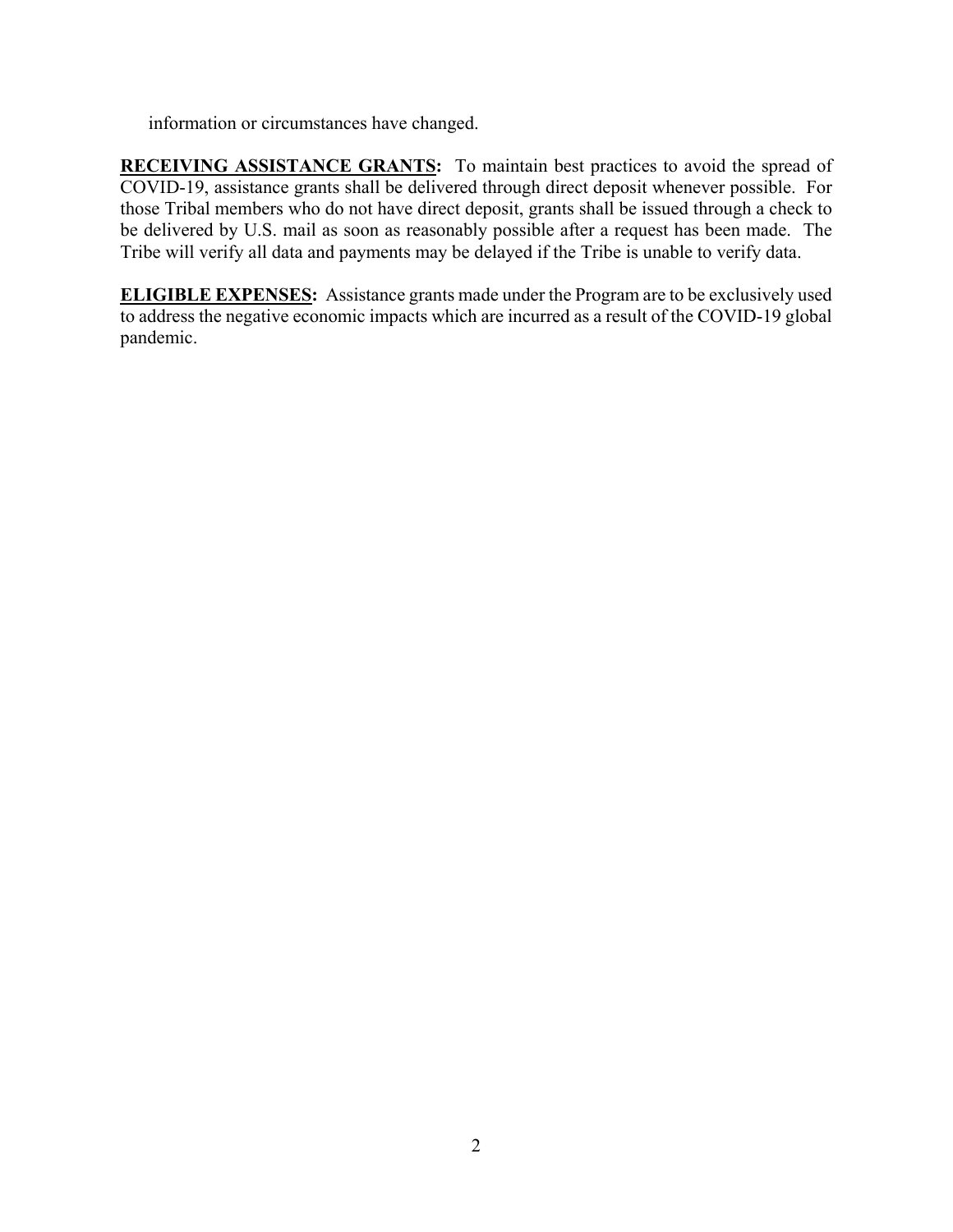information or circumstances have changed.

**RECEIVING ASSISTANCE GRANTS:** To maintain best practices to avoid the spread of COVID-19, assistance grants shall be delivered through direct deposit whenever possible. For those Tribal members who do not have direct deposit, grants shall be issued through a check to be delivered by U.S. mail as soon as reasonably possible after a request has been made. The Tribe will verify all data and payments may be delayed if the Tribe is unable to verify data.

**ELIGIBLE EXPENSES:** Assistance grants made under the Program are to be exclusively used to address the negative economic impacts which are incurred as a result of the COVID-19 global pandemic.